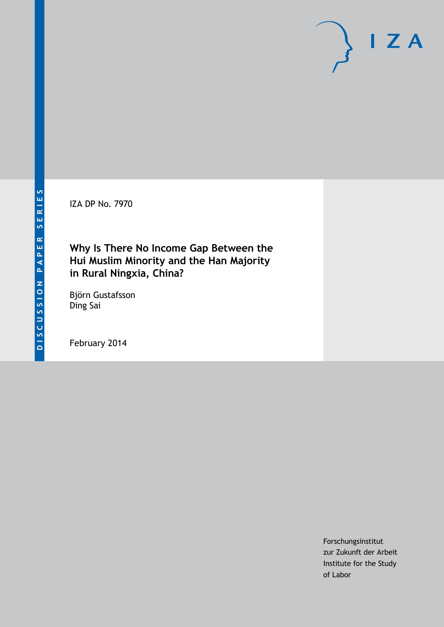IZA DP No. 7970

# **Why Is There No Income Gap Between the Hui Muslim Minority and the Han Majority in Rural Ningxia, China?**

Björn Gustafsson Ding Sai

February 2014

Forschungsinstitut zur Zukunft der Arbeit Institute for the Study of Labor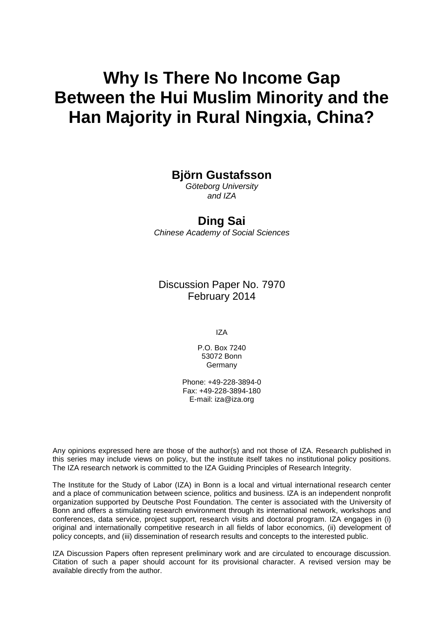# **Why Is There No Income Gap Between the Hui Muslim Minority and the Han Majority in Rural Ningxia, China?**

# **Björn Gustafsson**

*Göteborg University and IZA*

# **Ding Sai**

*Chinese Academy of Social Sciences*

Discussion Paper No. 7970 February 2014

IZA

P.O. Box 7240 53072 Bonn Germany

Phone: +49-228-3894-0 Fax: +49-228-3894-180 E-mail: [iza@iza.org](mailto:iza@iza.org)

Any opinions expressed here are those of the author(s) and not those of IZA. Research published in this series may include views on policy, but the institute itself takes no institutional policy positions. The IZA research network is committed to the IZA Guiding Principles of Research Integrity.

The Institute for the Study of Labor (IZA) in Bonn is a local and virtual international research center and a place of communication between science, politics and business. IZA is an independent nonprofit organization supported by Deutsche Post Foundation. The center is associated with the University of Bonn and offers a stimulating research environment through its international network, workshops and conferences, data service, project support, research visits and doctoral program. IZA engages in (i) original and internationally competitive research in all fields of labor economics, (ii) development of policy concepts, and (iii) dissemination of research results and concepts to the interested public.

<span id="page-1-0"></span>IZA Discussion Papers often represent preliminary work and are circulated to encourage discussion. Citation of such a paper should account for its provisional character. A revised version may be available directly from the author.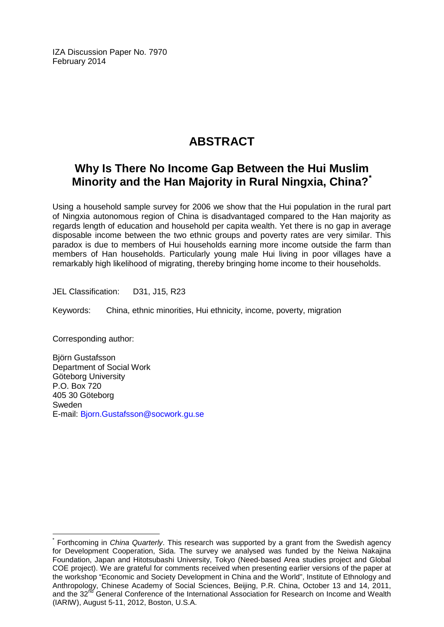IZA Discussion Paper No. 7970 February 2014

# **ABSTRACT**

# **Why Is There No Income Gap Between the Hui Muslim Minority and the Han Majority in Rural Ningxia, China?[\\*](#page-1-0)**

Using a household sample survey for 2006 we show that the Hui population in the rural part of Ningxia autonomous region of China is disadvantaged compared to the Han majority as regards length of education and household per capita wealth. Yet there is no gap in average disposable income between the two ethnic groups and poverty rates are very similar. This paradox is due to members of Hui households earning more income outside the farm than members of Han households. Particularly young male Hui living in poor villages have a remarkably high likelihood of migrating, thereby bringing home income to their households.

JEL Classification: D31, J15, R23

Keywords: China, ethnic minorities, Hui ethnicity, income, poverty, migration

Corresponding author:

Björn Gustafsson Department of Social Work Göteborg University P.O. Box 720 405 30 Göteborg Sweden E-mail: [Bjorn.Gustafsson@socwork.gu.se](mailto:Bjorn.Gustafsson@socwork.gu.se)

Forthcoming in *China Quarterly*. This research was supported by a grant from the Swedish agency for Development Cooperation, Sida. The survey we analysed was funded by the Neiwa Nakajina Foundation, Japan and Hitotsubashi University, Tokyo (Need-based Area studies project and Global COE project). We are grateful for comments received when presenting earlier versions of the paper at the workshop "Economic and Society Development in China and the World", Institute of Ethnology and Anthropology, Chinese Academy of Social Sciences, Beijing, P.R. China, October 13 and 14, 2011, and the 32<sup>nd</sup> General Conference of the International Association for Research on Income and Wealth (IARIW), August 5-11, 2012, Boston, U.S.A.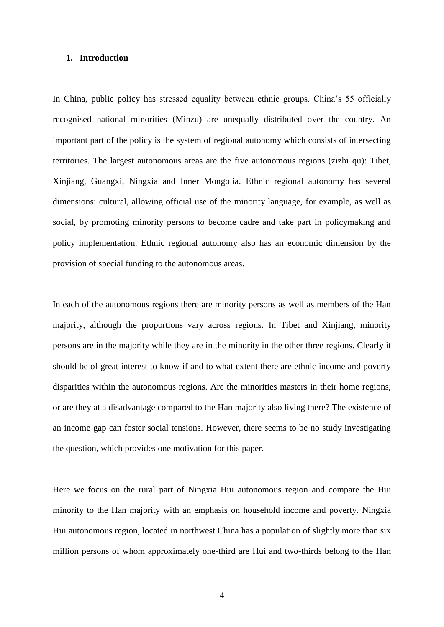#### **1. Introduction**

In China, public policy has stressed equality between ethnic groups. China's 55 officially recognised national minorities (Minzu) are unequally distributed over the country. An important part of the policy is the system of regional autonomy which consists of intersecting territories. The largest autonomous areas are the five autonomous regions (zizhi qu): Tibet, Xinjiang, Guangxi, Ningxia and Inner Mongolia. Ethnic regional autonomy has several dimensions: cultural, allowing official use of the minority language, for example, as well as social, by promoting minority persons to become cadre and take part in policymaking and policy implementation. Ethnic regional autonomy also has an economic dimension by the provision of special funding to the autonomous areas.

In each of the autonomous regions there are minority persons as well as members of the Han majority, although the proportions vary across regions. In Tibet and Xinjiang, minority persons are in the majority while they are in the minority in the other three regions. Clearly it should be of great interest to know if and to what extent there are ethnic income and poverty disparities within the autonomous regions. Are the minorities masters in their home regions, or are they at a disadvantage compared to the Han majority also living there? The existence of an income gap can foster social tensions. However, there seems to be no study investigating the question, which provides one motivation for this paper.

Here we focus on the rural part of Ningxia Hui autonomous region and compare the Hui minority to the Han majority with an emphasis on household income and poverty. Ningxia Hui autonomous region, located in northwest China has a population of slightly more than six million persons of whom approximately one-third are Hui and two-thirds belong to the Han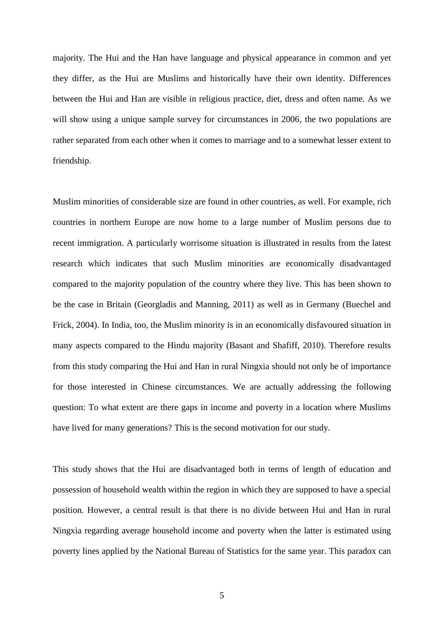majority. The Hui and the Han have language and physical appearance in common and yet they differ, as the Hui are Muslims and historically have their own identity. Differences between the Hui and Han are visible in religious practice, diet, dress and often name. As we will show using a unique sample survey for circumstances in 2006, the two populations are rather separated from each other when it comes to marriage and to a somewhat lesser extent to friendship.

Muslim minorities of considerable size are found in other countries, as well. For example, rich countries in northern Europe are now home to a large number of Muslim persons due to recent immigration. A particularly worrisome situation is illustrated in results from the latest research which indicates that such Muslim minorities are economically disadvantaged compared to the majority population of the country where they live. This has been shown to be the case in Britain (Georgladis and Manning, 2011) as well as in Germany (Buechel and Frick, 2004). In India, too, the Muslim minority is in an economically disfavoured situation in many aspects compared to the Hindu majority (Basant and Shafiff, 2010). Therefore results from this study comparing the Hui and Han in rural Ningxia should not only be of importance for those interested in Chinese circumstances. We are actually addressing the following question: To what extent are there gaps in income and poverty in a location where Muslims have lived for many generations? This is the second motivation for our study.

This study shows that the Hui are disadvantaged both in terms of length of education and possession of household wealth within the region in which they are supposed to have a special position. However, a central result is that there is no divide between Hui and Han in rural Ningxia regarding average household income and poverty when the latter is estimated using poverty lines applied by the National Bureau of Statistics for the same year. This paradox can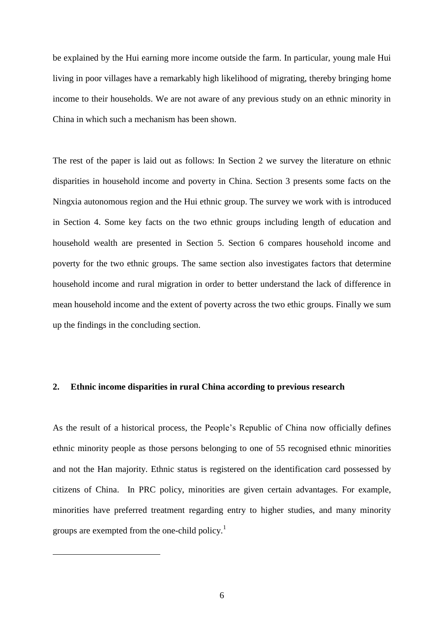be explained by the Hui earning more income outside the farm. In particular, young male Hui living in poor villages have a remarkably high likelihood of migrating, thereby bringing home income to their households. We are not aware of any previous study on an ethnic minority in China in which such a mechanism has been shown.

The rest of the paper is laid out as follows: In Section 2 we survey the literature on ethnic disparities in household income and poverty in China. Section 3 presents some facts on the Ningxia autonomous region and the Hui ethnic group. The survey we work with is introduced in Section 4. Some key facts on the two ethnic groups including length of education and household wealth are presented in Section 5. Section 6 compares household income and poverty for the two ethnic groups. The same section also investigates factors that determine household income and rural migration in order to better understand the lack of difference in mean household income and the extent of poverty across the two ethic groups. Finally we sum up the findings in the concluding section.

#### **2. Ethnic income disparities in rural China according to previous research**

As the result of a historical process, the People's Republic of China now officially defines ethnic minority people as those persons belonging to one of 55 recognised ethnic minorities and not the Han majority. Ethnic status is registered on the identification card possessed by citizens of China. In PRC policy, minorities are given certain advantages. For example, minorities have preferred treatment regarding entry to higher studies, and many minority groups are exempted from the one-child policy.<sup>1</sup>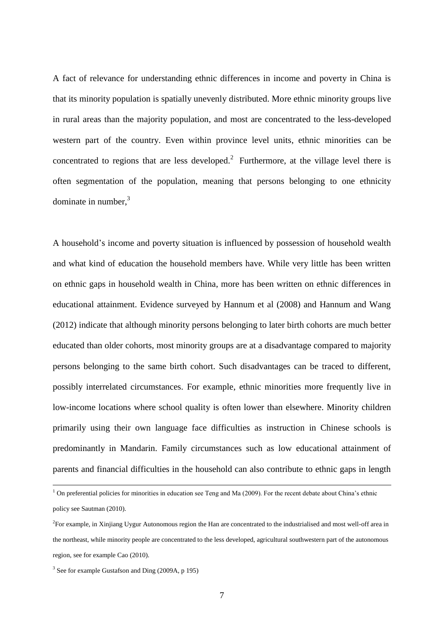A fact of relevance for understanding ethnic differences in income and poverty in China is that its minority population is spatially unevenly distributed. More ethnic minority groups live in rural areas than the majority population, and most are concentrated to the less-developed western part of the country. Even within province level units, ethnic minorities can be concentrated to regions that are less developed.<sup>2</sup> Furthermore, at the village level there is often segmentation of the population, meaning that persons belonging to one ethnicity dominate in number, 3

A household's income and poverty situation is influenced by possession of household wealth and what kind of education the household members have. While very little has been written on ethnic gaps in household wealth in China, more has been written on ethnic differences in educational attainment. Evidence surveyed by Hannum et al (2008) and Hannum and Wang (2012) indicate that although minority persons belonging to later birth cohorts are much better educated than older cohorts, most minority groups are at a disadvantage compared to majority persons belonging to the same birth cohort. Such disadvantages can be traced to different, possibly interrelated circumstances. For example, ethnic minorities more frequently live in low-income locations where school quality is often lower than elsewhere. Minority children primarily using their own language face difficulties as instruction in Chinese schools is predominantly in Mandarin. Family circumstances such as low educational attainment of parents and financial difficulties in the household can also contribute to ethnic gaps in length

 $1$  On preferential policies for minorities in education see Teng and Ma (2009). For the recent debate about China's ethnic policy see Sautman (2010).

<sup>2</sup> For example, in Xinjiang Uygur Autonomous region the Han are concentrated to the industrialised and most well-off area in the northeast, while minority people are concentrated to the less developed, agricultural southwestern part of the autonomous region, see for example Cao (2010).

<sup>&</sup>lt;sup>3</sup> See for example Gustafson and Ding (2009A, p 195)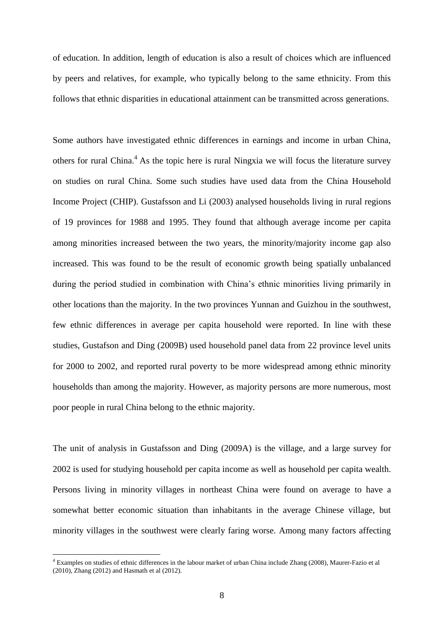of education. In addition, length of education is also a result of choices which are influenced by peers and relatives, for example, who typically belong to the same ethnicity. From this follows that ethnic disparities in educational attainment can be transmitted across generations.

Some authors have investigated ethnic differences in earnings and income in urban China, others for rural China.<sup>4</sup> As the topic here is rural Ningxia we will focus the literature survey on studies on rural China. Some such studies have used data from the China Household Income Project (CHIP). Gustafsson and Li (2003) analysed households living in rural regions of 19 provinces for 1988 and 1995. They found that although average income per capita among minorities increased between the two years, the minority/majority income gap also increased. This was found to be the result of economic growth being spatially unbalanced during the period studied in combination with China's ethnic minorities living primarily in other locations than the majority. In the two provinces Yunnan and Guizhou in the southwest, few ethnic differences in average per capita household were reported. In line with these studies, Gustafson and Ding (2009B) used household panel data from 22 province level units for 2000 to 2002, and reported rural poverty to be more widespread among ethnic minority households than among the majority. However, as majority persons are more numerous, most poor people in rural China belong to the ethnic majority.

The unit of analysis in Gustafsson and Ding (2009A) is the village, and a large survey for 2002 is used for studying household per capita income as well as household per capita wealth. Persons living in minority villages in northeast China were found on average to have a somewhat better economic situation than inhabitants in the average Chinese village, but minority villages in the southwest were clearly faring worse. Among many factors affecting

<sup>4</sup> Examples on studies of ethnic differences in the labour market of urban China include Zhang (2008), Maurer-Fazio et al (2010), Zhang (2012) and Hasmath et al (2012).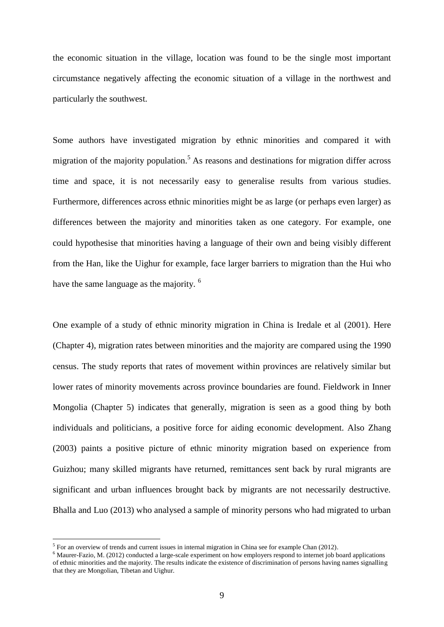the economic situation in the village, location was found to be the single most important circumstance negatively affecting the economic situation of a village in the northwest and particularly the southwest.

Some authors have investigated migration by ethnic minorities and compared it with migration of the majority population.<sup>5</sup> As reasons and destinations for migration differ across time and space, it is not necessarily easy to generalise results from various studies. Furthermore, differences across ethnic minorities might be as large (or perhaps even larger) as differences between the majority and minorities taken as one category. For example, one could hypothesise that minorities having a language of their own and being visibly different from the Han, like the Uighur for example, face larger barriers to migration than the Hui who have the same language as the majority. <sup>6</sup>

One example of a study of ethnic minority migration in China is Iredale et al (2001). Here (Chapter 4), migration rates between minorities and the majority are compared using the 1990 census. The study reports that rates of movement within provinces are relatively similar but lower rates of minority movements across province boundaries are found. Fieldwork in Inner Mongolia (Chapter 5) indicates that generally, migration is seen as a good thing by both individuals and politicians, a positive force for aiding economic development. Also Zhang (2003) paints a positive picture of ethnic minority migration based on experience from Guizhou; many skilled migrants have returned, remittances sent back by rural migrants are significant and urban influences brought back by migrants are not necessarily destructive. Bhalla and Luo (2013) who analysed a sample of minority persons who had migrated to urban

 $<sup>5</sup>$  For an overview of trends and current issues in internal migration in China see for example Chan (2012).</sup>

<sup>6</sup> Maurer-Fazio, M. (2012) conducted a large-scale experiment on how employers respond to internet job board applications of ethnic minorities and the majority. The results indicate the existence of discrimination of persons having names signalling that they are Mongolian, Tibetan and Uighur.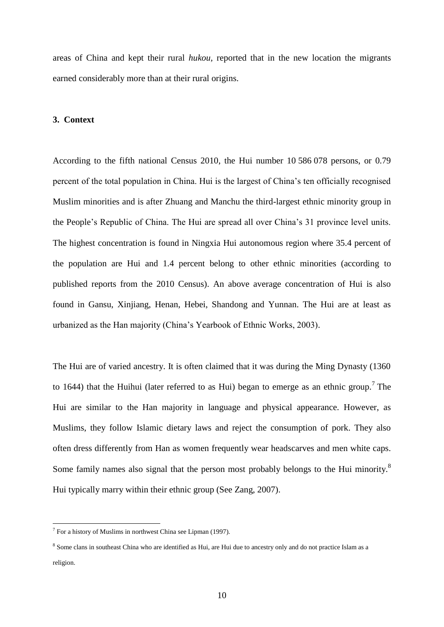areas of China and kept their rural *hukou,* reported that in the new location the migrants earned considerably more than at their rural origins.

#### **3. Context**

According to the fifth national Census 2010, the Hui number 10 586 078 persons, or 0.79 percent of the total population in China. Hui is the largest of China's ten officially recognised Muslim minorities and is after Zhuang and Manchu the third-largest ethnic minority group in the People's Republic of China. The Hui are spread all over China's 31 province level units. The highest concentration is found in Ningxia Hui autonomous region where 35.4 percent of the population are Hui and 1.4 percent belong to other ethnic minorities (according to published reports from the 2010 Census). An above average concentration of Hui is also found in Gansu, Xinjiang, Henan, Hebei, Shandong and Yunnan. The Hui are at least as urbanized as the Han majority (China's Yearbook of Ethnic Works, 2003).

The Hui are of varied ancestry. It is often claimed that it was during the Ming Dynasty (1360 to 1644) that the Huihui (later referred to as Hui) began to emerge as an ethnic group.<sup>7</sup> The Hui are similar to the Han majority in language and physical appearance. However, as Muslims, they follow Islamic dietary laws and reject the consumption of pork. They also often dress differently from Han as women frequently wear headscarves and men white caps. Some family names also signal that the person most probably belongs to the Hui minority.<sup>8</sup> Hui typically marry within their ethnic group (See Zang, 2007).

<sup>&</sup>lt;sup>7</sup> For a history of Muslims in northwest China see Lipman (1997).

<sup>&</sup>lt;sup>8</sup> Some clans in southeast China who are identified as Hui, are Hui due to ancestry only and do not practice Islam as a religion.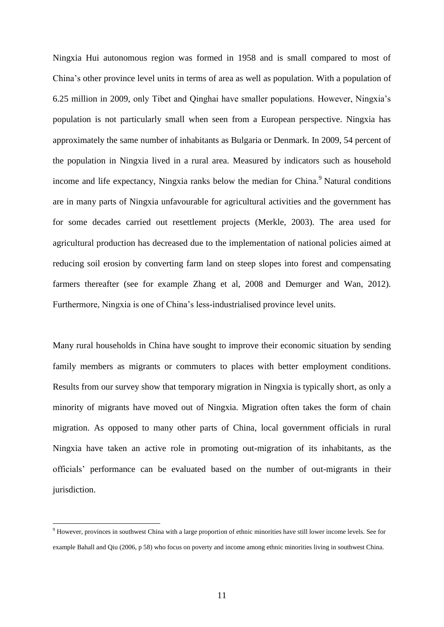Ningxia Hui autonomous region was formed in 1958 and is small compared to most of China's other province level units in terms of area as well as population. With a population of 6.25 million in 2009, only Tibet and Qinghai have smaller populations. However, Ningxia's population is not particularly small when seen from a European perspective. Ningxia has approximately the same number of inhabitants as Bulgaria or Denmark. In 2009, 54 percent of the population in Ningxia lived in a rural area. Measured by indicators such as household income and life expectancy, Ningxia ranks below the median for China.<sup>9</sup> Natural conditions are in many parts of Ningxia unfavourable for agricultural activities and the government has for some decades carried out resettlement projects (Merkle, 2003). The area used for agricultural production has decreased due to the implementation of national policies aimed at reducing soil erosion by converting farm land on steep slopes into forest and compensating farmers thereafter (see for example Zhang et al, 2008 and Demurger and Wan, 2012). Furthermore, Ningxia is one of China's less-industrialised province level units.

Many rural households in China have sought to improve their economic situation by sending family members as migrants or commuters to places with better employment conditions. Results from our survey show that temporary migration in Ningxia is typically short, as only a minority of migrants have moved out of Ningxia. Migration often takes the form of chain migration. As opposed to many other parts of China, local government officials in rural Ningxia have taken an active role in promoting out-migration of its inhabitants, as the officials' performance can be evaluated based on the number of out-migrants in their jurisdiction.

<sup>&</sup>lt;sup>9</sup> However, provinces in southwest China with a large proportion of ethnic minorities have still lower income levels. See for example Bahall and Qiu (2006, p 58) who focus on poverty and income among ethnic minorities living in southwest China.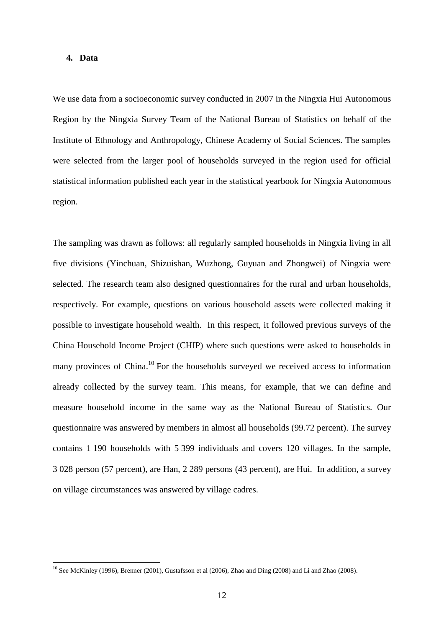#### **4. Data**

1

We use data from a socioeconomic survey conducted in 2007 in the Ningxia Hui Autonomous Region by the Ningxia Survey Team of the National Bureau of Statistics on behalf of the Institute of Ethnology and Anthropology, Chinese Academy of Social Sciences. The samples were selected from the larger pool of households surveyed in the region used for official statistical information published each year in the statistical yearbook for Ningxia Autonomous region.

The sampling was drawn as follows: all regularly sampled households in Ningxia living in all five divisions (Yinchuan, Shizuishan, Wuzhong, Guyuan and Zhongwei) of Ningxia were selected. The research team also designed questionnaires for the rural and urban households, respectively. For example, questions on various household assets were collected making it possible to investigate household wealth. In this respect, it followed previous surveys of the China Household Income Project (CHIP) where such questions were asked to households in many provinces of China.<sup>10</sup> For the households surveyed we received access to information already collected by the survey team. This means, for example, that we can define and measure household income in the same way as the National Bureau of Statistics. Our questionnaire was answered by members in almost all households (99.72 percent). The survey contains 1 190 households with 5 399 individuals and covers 120 villages. In the sample, 3 028 person (57 percent), are Han, 2 289 persons (43 percent), are Hui. In addition, a survey on village circumstances was answered by village cadres.

<sup>&</sup>lt;sup>10</sup> See McKinley (1996), Brenner (2001), Gustafsson et al (2006), Zhao and Ding (2008) and Li and Zhao (2008).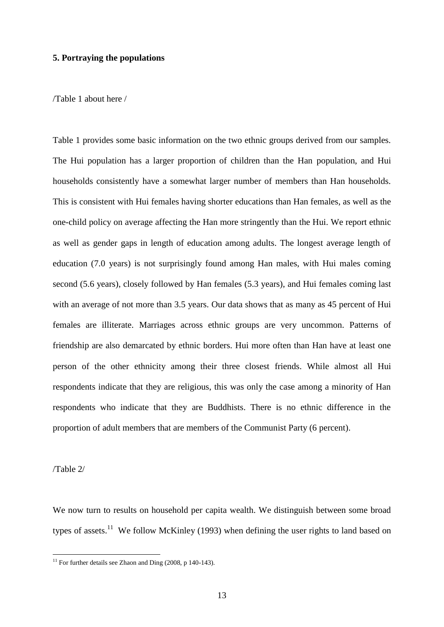#### **5. Portraying the populations**

/Table 1 about here /

Table 1 provides some basic information on the two ethnic groups derived from our samples. The Hui population has a larger proportion of children than the Han population, and Hui households consistently have a somewhat larger number of members than Han households. This is consistent with Hui females having shorter educations than Han females, as well as the one-child policy on average affecting the Han more stringently than the Hui. We report ethnic as well as gender gaps in length of education among adults. The longest average length of education (7.0 years) is not surprisingly found among Han males, with Hui males coming second (5.6 years), closely followed by Han females (5.3 years), and Hui females coming last with an average of not more than 3.5 years. Our data shows that as many as 45 percent of Hui females are illiterate. Marriages across ethnic groups are very uncommon. Patterns of friendship are also demarcated by ethnic borders. Hui more often than Han have at least one person of the other ethnicity among their three closest friends. While almost all Hui respondents indicate that they are religious, this was only the case among a minority of Han respondents who indicate that they are Buddhists. There is no ethnic difference in the proportion of adult members that are members of the Communist Party (6 percent).

/Table 2/

1

We now turn to results on household per capita wealth. We distinguish between some broad types of assets.<sup>11</sup> We follow McKinley (1993) when defining the user rights to land based on

 $11$  For further details see Zhaon and Ding (2008, p 140-143).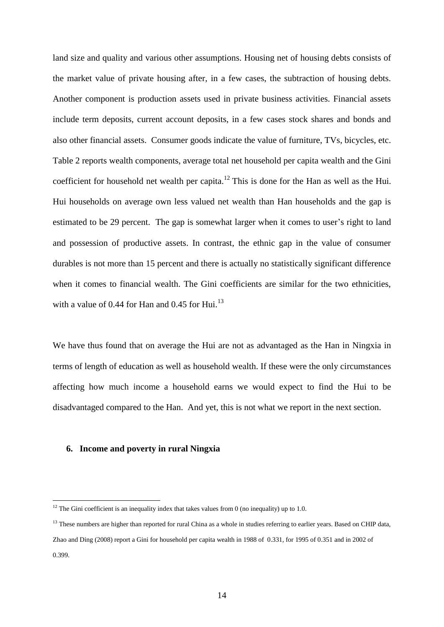land size and quality and various other assumptions. Housing net of housing debts consists of the market value of private housing after, in a few cases, the subtraction of housing debts. Another component is production assets used in private business activities. Financial assets include term deposits, current account deposits, in a few cases stock shares and bonds and also other financial assets. Consumer goods indicate the value of furniture, TVs, bicycles, etc. Table 2 reports wealth components, average total net household per capita wealth and the Gini coefficient for household net wealth per capita.<sup>12</sup> This is done for the Han as well as the Hui. Hui households on average own less valued net wealth than Han households and the gap is estimated to be 29 percent. The gap is somewhat larger when it comes to user's right to land and possession of productive assets. In contrast, the ethnic gap in the value of consumer durables is not more than 15 percent and there is actually no statistically significant difference when it comes to financial wealth. The Gini coefficients are similar for the two ethnicities, with a value of 0.44 for Han and 0.45 for Hui. $^{13}$ 

We have thus found that on average the Hui are not as advantaged as the Han in Ningxia in terms of length of education as well as household wealth. If these were the only circumstances affecting how much income a household earns we would expect to find the Hui to be disadvantaged compared to the Han. And yet, this is not what we report in the next section.

#### **6. Income and poverty in rural Ningxia**

 $12$  The Gini coefficient is an inequality index that takes values from 0 (no inequality) up to 1.0.

<sup>&</sup>lt;sup>13</sup> These numbers are higher than reported for rural China as a whole in studies referring to earlier years. Based on CHIP data, Zhao and Ding (2008) report a Gini for household per capita wealth in 1988 of 0.331, for 1995 of 0.351 and in 2002 of 0.399.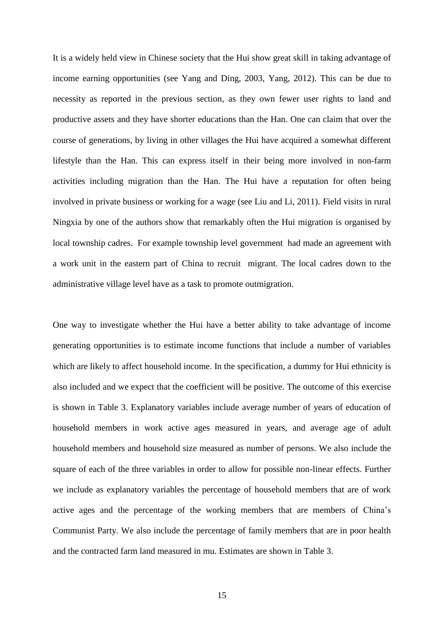It is a widely held view in Chinese society that the Hui show great skill in taking advantage of income earning opportunities (see Yang and Ding, 2003, Yang, 2012). This can be due to necessity as reported in the previous section, as they own fewer user rights to land and productive assets and they have shorter educations than the Han. One can claim that over the course of generations, by living in other villages the Hui have acquired a somewhat different lifestyle than the Han. This can express itself in their being more involved in non-farm activities including migration than the Han. The Hui have a reputation for often being involved in private business or working for a wage (see Liu and Li, 2011). Field visits in rural Ningxia by one of the authors show that remarkably often the Hui migration is organised by local township cadres. For example township level government had made an agreement with a work unit in the eastern part of China to recruit migrant. The local cadres down to the administrative village level have as a task to promote outmigration.

One way to investigate whether the Hui have a better ability to take advantage of income generating opportunities is to estimate income functions that include a number of variables which are likely to affect household income. In the specification, a dummy for Hui ethnicity is also included and we expect that the coefficient will be positive. The outcome of this exercise is shown in Table 3. Explanatory variables include average number of years of education of household members in work active ages measured in years, and average age of adult household members and household size measured as number of persons. We also include the square of each of the three variables in order to allow for possible non-linear effects. Further we include as explanatory variables the percentage of household members that are of work active ages and the percentage of the working members that are members of China's Communist Party. We also include the percentage of family members that are in poor health and the contracted farm land measured in mu. Estimates are shown in Table 3.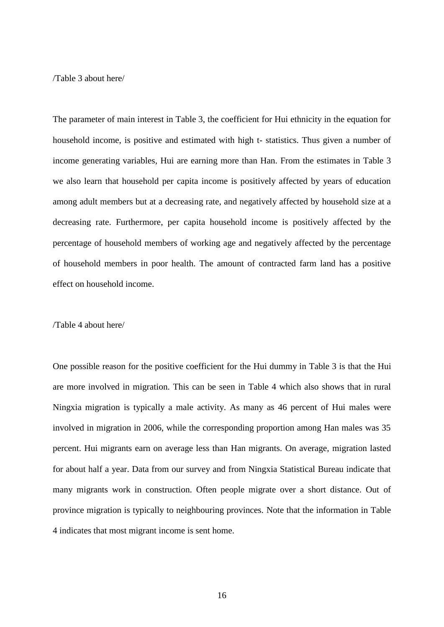/Table 3 about here/

The parameter of main interest in Table 3, the coefficient for Hui ethnicity in the equation for household income, is positive and estimated with high t- statistics. Thus given a number of income generating variables, Hui are earning more than Han. From the estimates in Table 3 we also learn that household per capita income is positively affected by years of education among adult members but at a decreasing rate, and negatively affected by household size at a decreasing rate. Furthermore, per capita household income is positively affected by the percentage of household members of working age and negatively affected by the percentage of household members in poor health. The amount of contracted farm land has a positive effect on household income.

#### /Table 4 about here/

One possible reason for the positive coefficient for the Hui dummy in Table 3 is that the Hui are more involved in migration. This can be seen in Table 4 which also shows that in rural Ningxia migration is typically a male activity. As many as 46 percent of Hui males were involved in migration in 2006, while the corresponding proportion among Han males was 35 percent. Hui migrants earn on average less than Han migrants. On average, migration lasted for about half a year. Data from our survey and from Ningxia Statistical Bureau indicate that many migrants work in construction. Often people migrate over a short distance. Out of province migration is typically to neighbouring provinces. Note that the information in Table 4 indicates that most migrant income is sent home.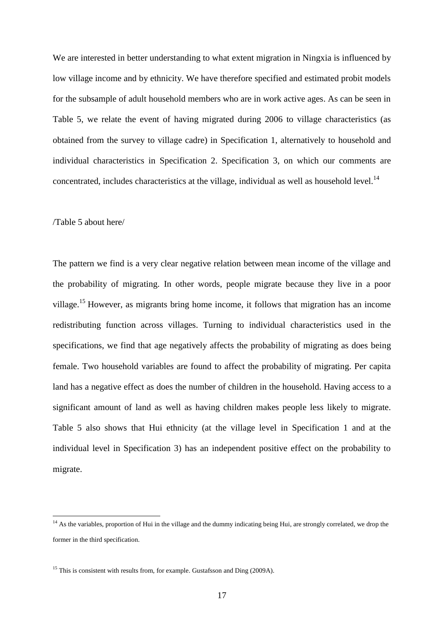We are interested in better understanding to what extent migration in Ningxia is influenced by low village income and by ethnicity. We have therefore specified and estimated probit models for the subsample of adult household members who are in work active ages. As can be seen in Table 5, we relate the event of having migrated during 2006 to village characteristics (as obtained from the survey to village cadre) in Specification 1, alternatively to household and individual characteristics in Specification 2. Specification 3, on which our comments are concentrated, includes characteristics at the village, individual as well as household level.<sup>14</sup>

#### /Table 5 about here/

1

The pattern we find is a very clear negative relation between mean income of the village and the probability of migrating. In other words, people migrate because they live in a poor village.<sup>15</sup> However, as migrants bring home income, it follows that migration has an income redistributing function across villages. Turning to individual characteristics used in the specifications, we find that age negatively affects the probability of migrating as does being female. Two household variables are found to affect the probability of migrating. Per capita land has a negative effect as does the number of children in the household. Having access to a significant amount of land as well as having children makes people less likely to migrate. Table 5 also shows that Hui ethnicity (at the village level in Specification 1 and at the individual level in Specification 3) has an independent positive effect on the probability to migrate.

<sup>&</sup>lt;sup>14</sup> As the variables, proportion of Hui in the village and the dummy indicating being Hui, are strongly correlated, we drop the former in the third specification.

<sup>&</sup>lt;sup>15</sup> This is consistent with results from, for example. Gustafsson and Ding (2009A).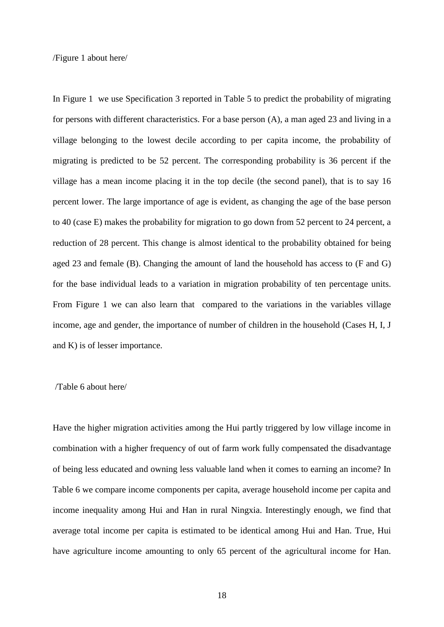/Figure 1 about here/

In Figure 1 we use Specification 3 reported in Table 5 to predict the probability of migrating for persons with different characteristics. For a base person (A), a man aged 23 and living in a village belonging to the lowest decile according to per capita income, the probability of migrating is predicted to be 52 percent. The corresponding probability is 36 percent if the village has a mean income placing it in the top decile (the second panel), that is to say 16 percent lower. The large importance of age is evident, as changing the age of the base person to 40 (case E) makes the probability for migration to go down from 52 percent to 24 percent, a reduction of 28 percent. This change is almost identical to the probability obtained for being aged 23 and female (B). Changing the amount of land the household has access to (F and G) for the base individual leads to a variation in migration probability of ten percentage units. From Figure 1 we can also learn that compared to the variations in the variables village income, age and gender, the importance of number of children in the household (Cases H, I, J and K) is of lesser importance.

#### /Table 6 about here/

Have the higher migration activities among the Hui partly triggered by low village income in combination with a higher frequency of out of farm work fully compensated the disadvantage of being less educated and owning less valuable land when it comes to earning an income? In Table 6 we compare income components per capita, average household income per capita and income inequality among Hui and Han in rural Ningxia. Interestingly enough, we find that average total income per capita is estimated to be identical among Hui and Han. True, Hui have agriculture income amounting to only 65 percent of the agricultural income for Han.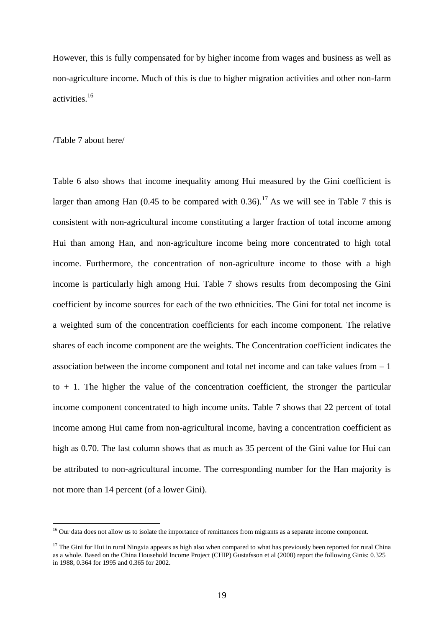However, this is fully compensated for by higher income from wages and business as well as non-agriculture income. Much of this is due to higher migration activities and other non-farm activities.<sup>16</sup>

#### /Table 7 about here/

1

Table 6 also shows that income inequality among Hui measured by the Gini coefficient is larger than among Han  $(0.45$  to be compared with 0.36).<sup>17</sup> As we will see in Table 7 this is consistent with non-agricultural income constituting a larger fraction of total income among Hui than among Han, and non-agriculture income being more concentrated to high total income. Furthermore, the concentration of non-agriculture income to those with a high income is particularly high among Hui. Table 7 shows results from decomposing the Gini coefficient by income sources for each of the two ethnicities. The Gini for total net income is a weighted sum of the concentration coefficients for each income component. The relative shares of each income component are the weights. The Concentration coefficient indicates the association between the income component and total net income and can take values from  $-1$  $to + 1$ . The higher the value of the concentration coefficient, the stronger the particular income component concentrated to high income units. Table 7 shows that 22 percent of total income among Hui came from non-agricultural income, having a concentration coefficient as high as 0.70. The last column shows that as much as 35 percent of the Gini value for Hui can be attributed to non-agricultural income. The corresponding number for the Han majority is not more than 14 percent (of a lower Gini).

<sup>&</sup>lt;sup>16</sup> Our data does not allow us to isolate the importance of remittances from migrants as a separate income component.

 $17$  The Gini for Hui in rural Ningxia appears as high also when compared to what has previously been reported for rural China as a whole. Based on the China Household Income Project (CHIP) Gustafsson et al (2008) report the following Ginis: 0.325 in 1988, 0.364 for 1995 and 0.365 for 2002.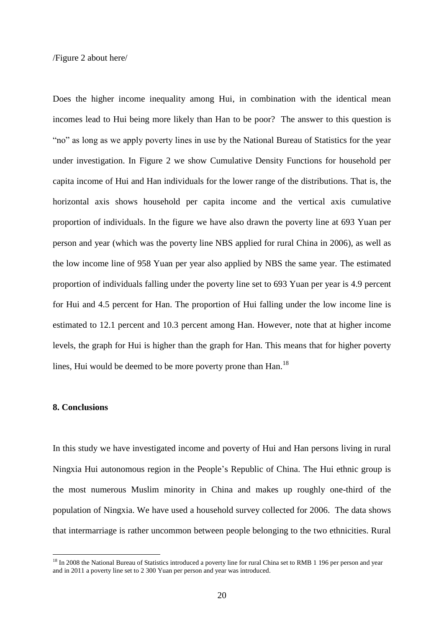/Figure 2 about here/

Does the higher income inequality among Hui, in combination with the identical mean incomes lead to Hui being more likely than Han to be poor? The answer to this question is "no" as long as we apply poverty lines in use by the National Bureau of Statistics for the year under investigation. In Figure 2 we show Cumulative Density Functions for household per capita income of Hui and Han individuals for the lower range of the distributions. That is, the horizontal axis shows household per capita income and the vertical axis cumulative proportion of individuals. In the figure we have also drawn the poverty line at 693 Yuan per person and year (which was the poverty line NBS applied for rural China in 2006), as well as the low income line of 958 Yuan per year also applied by NBS the same year. The estimated proportion of individuals falling under the poverty line set to 693 Yuan per year is 4.9 percent for Hui and 4.5 percent for Han. The proportion of Hui falling under the low income line is estimated to 12.1 percent and 10.3 percent among Han. However, note that at higher income levels, the graph for Hui is higher than the graph for Han. This means that for higher poverty lines, Hui would be deemed to be more poverty prone than Han.<sup>18</sup>

#### **8. Conclusions**

1

In this study we have investigated income and poverty of Hui and Han persons living in rural Ningxia Hui autonomous region in the People's Republic of China. The Hui ethnic group is the most numerous Muslim minority in China and makes up roughly one-third of the population of Ningxia. We have used a household survey collected for 2006. The data shows that intermarriage is rather uncommon between people belonging to the two ethnicities. Rural

<sup>&</sup>lt;sup>18</sup> In 2008 the National Bureau of Statistics introduced a poverty line for rural China set to RMB 1 196 per person and year and in 2011 a poverty line set to 2 300 Yuan per person and year was introduced.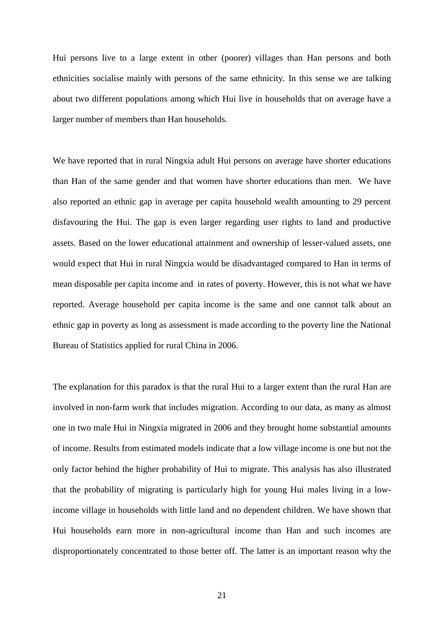Hui persons live to a large extent in other (poorer) villages than Han persons and both ethnicities socialise mainly with persons of the same ethnicity. In this sense we are talking about two different populations among which Hui live in households that on average have a larger number of members than Han households.

We have reported that in rural Ningxia adult Hui persons on average have shorter educations than Han of the same gender and that women have shorter educations than men. We have also reported an ethnic gap in average per capita household wealth amounting to 29 percent disfavouring the Hui. The gap is even larger regarding user rights to land and productive assets. Based on the lower educational attainment and ownership of lesser-valued assets, one would expect that Hui in rural Ningxia would be disadvantaged compared to Han in terms of mean disposable per capita income and in rates of poverty. However, this is not what we have reported. Average household per capita income is the same and one cannot talk about an ethnic gap in poverty as long as assessment is made according to the poverty line the National Bureau of Statistics applied for rural China in 2006.

The explanation for this paradox is that the rural Hui to a larger extent than the rural Han are involved in non-farm work that includes migration. According to our data, as many as almost one in two male Hui in Ningxia migrated in 2006 and they brought home substantial amounts of income. Results from estimated models indicate that a low village income is one but not the only factor behind the higher probability of Hui to migrate. This analysis has also illustrated that the probability of migrating is particularly high for young Hui males living in a lowincome village in households with little land and no dependent children. We have shown that Hui households earn more in non-agricultural income than Han and such incomes are disproportionately concentrated to those better off. The latter is an important reason why the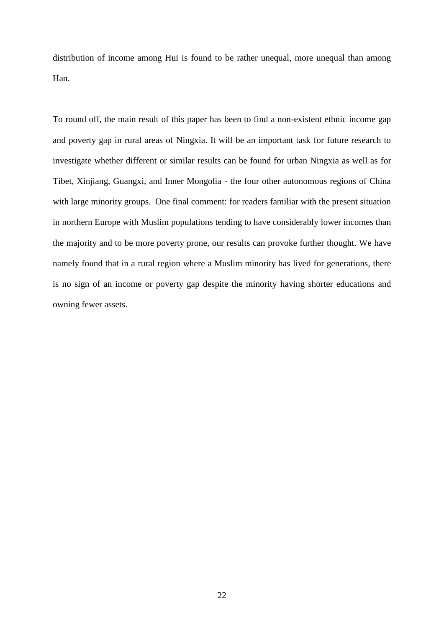distribution of income among Hui is found to be rather unequal, more unequal than among Han.

To round off, the main result of this paper has been to find a non-existent ethnic income gap and poverty gap in rural areas of Ningxia. It will be an important task for future research to investigate whether different or similar results can be found for urban Ningxia as well as for Tibet, Xinjiang, Guangxi, and Inner Mongolia - the four other autonomous regions of China with large minority groups. One final comment: for readers familiar with the present situation in northern Europe with Muslim populations tending to have considerably lower incomes than the majority and to be more poverty prone, our results can provoke further thought. We have namely found that in a rural region where a Muslim minority has lived for generations, there is no sign of an income or poverty gap despite the minority having shorter educations and owning fewer assets.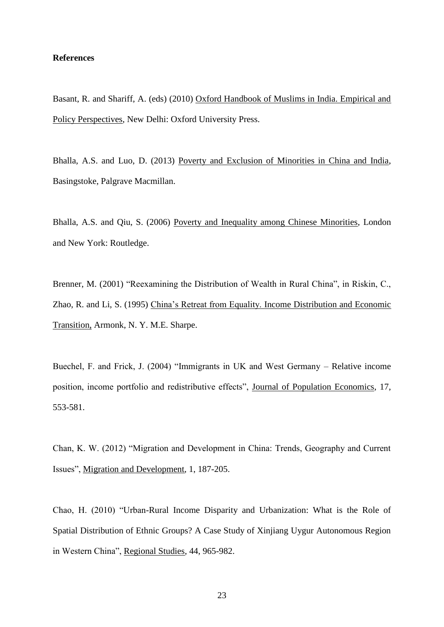#### **References**

Basant, R. and Shariff, A. (eds) (2010) Oxford Handbook of Muslims in India. Empirical and Policy Perspectives, New Delhi: Oxford University Press.

Bhalla, A.S. and Luo, D. (2013) Poverty and Exclusion of Minorities in China and India, Basingstoke, Palgrave Macmillan.

Bhalla, A.S. and Qiu, S. (2006) Poverty and Inequality among Chinese Minorities, London and New York: Routledge.

Brenner, M. (2001) "Reexamining the Distribution of Wealth in Rural China", in Riskin, C., Zhao, R. and Li, S. (1995) China's Retreat from Equality. Income Distribution and Economic Transition, Armonk, N. Y. M.E. Sharpe.

Buechel, F. and Frick, J. (2004) "Immigrants in UK and West Germany – Relative income position, income portfolio and redistributive effects", Journal of Population Economics, 17, 553-581.

Chan, K. W. (2012) "Migration and Development in China: Trends, Geography and Current Issues", Migration and Development, 1, 187-205.

Chao, H. (2010) "Urban-Rural Income Disparity and Urbanization: What is the Role of Spatial Distribution of Ethnic Groups? A Case Study of Xinjiang Uygur Autonomous Region in Western China", Regional Studies, 44, 965-982.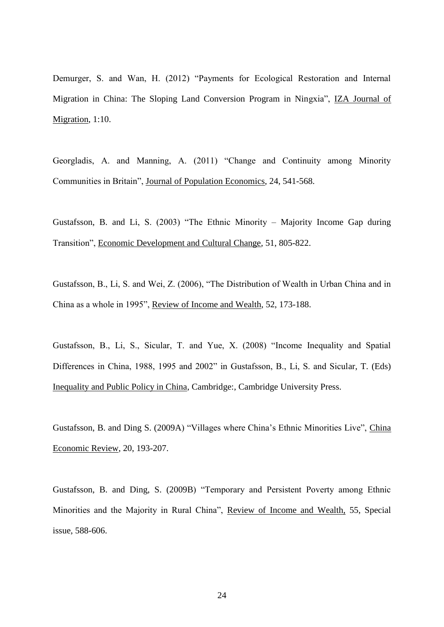Demurger, S. and Wan, H. (2012) "Payments for Ecological Restoration and Internal Migration in China: The Sloping Land Conversion Program in Ningxia", IZA Journal of Migration, 1:10.

Georgladis, A. and Manning, A. (2011) "Change and Continuity among Minority Communities in Britain", Journal of Population Economics, 24, 541-568.

Gustafsson, B. and Li, S. (2003) "The Ethnic Minority – Majority Income Gap during Transition", Economic Development and Cultural Change, 51, 805-822.

Gustafsson, B., Li, S. and Wei, Z. (2006), "The Distribution of Wealth in Urban China and in China as a whole in 1995", Review of Income and Wealth, 52, 173-188.

Gustafsson, B., Li, S., Sicular, T. and Yue, X. (2008) "Income Inequality and Spatial Differences in China, 1988, 1995 and 2002" in Gustafsson, B., Li, S. and Sicular, T. (Eds) Inequality and Public Policy in China, Cambridge:, Cambridge University Press.

Gustafsson, B. and Ding S. (2009A) "Villages where China's Ethnic Minorities Live", China Economic Review, 20, 193-207.

Gustafsson, B. and Ding, S. (2009B) "Temporary and Persistent Poverty among Ethnic Minorities and the Majority in Rural China", Review of Income and Wealth, 55, Special issue, 588-606.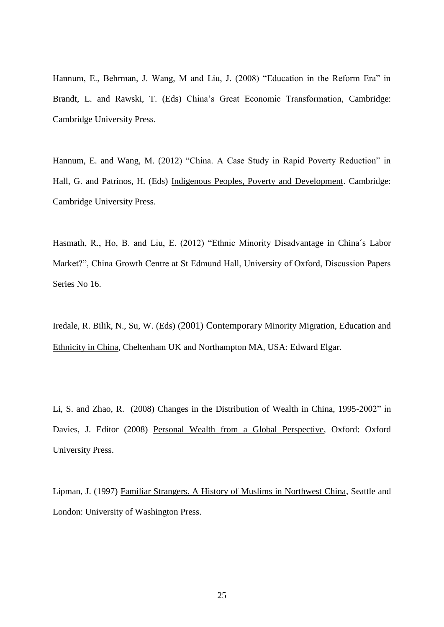Hannum, E., Behrman, J. Wang, M and Liu, J. (2008) "Education in the Reform Era" in Brandt, L. and Rawski, T. (Eds) China's Great Economic Transformation, Cambridge: Cambridge University Press.

Hannum, E. and Wang, M. (2012) "China. A Case Study in Rapid Poverty Reduction" in Hall, G. and Patrinos, H. (Eds) Indigenous Peoples, Poverty and Development. Cambridge: Cambridge University Press.

Hasmath, R., Ho, B. and Liu, E. (2012) "Ethnic Minority Disadvantage in China´s Labor Market?", China Growth Centre at St Edmund Hall, University of Oxford, Discussion Papers Series No 16.

Iredale, R. Bilik, N., Su, W. (Eds) (2001) Contemporary Minority Migration, Education and Ethnicity in China, Cheltenham UK and Northampton MA, USA: Edward Elgar.

Li, S. and Zhao, R. (2008) Changes in the Distribution of Wealth in China, 1995-2002" in Davies, J. Editor (2008) Personal Wealth from a Global Perspective, Oxford: Oxford University Press.

Lipman, J. (1997) Familiar Strangers. A History of Muslims in Northwest China, Seattle and London: University of Washington Press.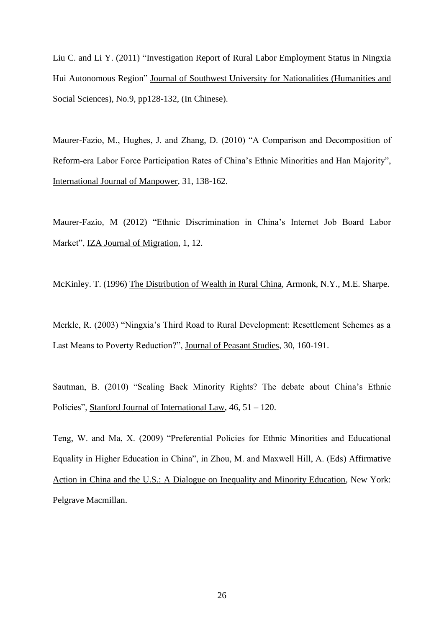Liu C. and Li Y. (2011) "Investigation Report of Rural Labor Employment Status in Ningxia Hui Autonomous Region" Journal of Southwest University for Nationalities (Humanities and Social Sciences), No.9, pp128-132, (In Chinese).

Maurer-Fazio, M., Hughes, J. and Zhang, D. (2010) "A Comparison and Decomposition of Reform-era Labor Force Participation Rates of China's Ethnic Minorities and Han Majority", International Journal of Manpower, 31, 138-162.

Maurer-Fazio, M (2012) "Ethnic Discrimination in China's Internet Job Board Labor Market", IZA Journal of Migration, 1, 12.

McKinley. T. (1996) The Distribution of Wealth in Rural China, Armonk, N.Y., M.E. Sharpe.

Merkle, R. (2003) "Ningxia's Third Road to Rural Development: Resettlement Schemes as a Last Means to Poverty Reduction?", Journal of Peasant Studies, 30, 160-191.

Sautman, B. (2010) "Scaling Back Minority Rights? The debate about China's Ethnic Policies", Stanford Journal of International Law, 46, 51 – 120.

Teng, W. and Ma, X. (2009) "Preferential Policies for Ethnic Minorities and Educational Equality in Higher Education in China", in Zhou, M. and Maxwell Hill, A. (Eds) Affirmative Action in China and the U.S.: A Dialogue on Inequality and Minority Education, New York: Pelgrave Macmillan.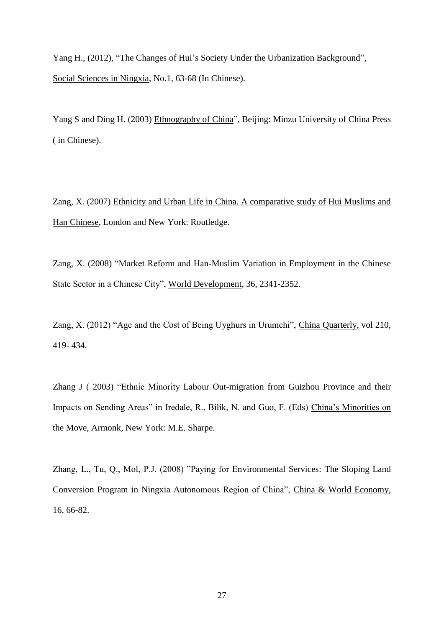Yang H., (2012), "The Changes of Hui's Society Under the Urbanization Background", Social Sciences in Ningxia, No.1, 63-68 (In Chinese).

Yang S and Ding H. (2003) Ethnography of China", Beijing: Minzu University of China Press ( in Chinese).

Zang, X. (2007) Ethnicity and Urban Life in China. A comparative study of Hui Muslims and Han Chinese, London and New York: Routledge.

Zang, X. (2008) "Market Reform and Han-Muslim Variation in Employment in the Chinese State Sector in a Chinese City", World Development, 36, 2341-2352.

Zang, X. (2012) "Age and the Cost of Being Uyghurs in Urumchi", China Quarterly, vol 210, 419- 434.

Zhang J ( 2003) "Ethnic Minority Labour Out-migration from Guizhou Province and their Impacts on Sending Areas" in Iredale, R., Bilik, N. and Guo, F. (Eds) China's Minorities on the Move, Armonk, New York: M.E. Sharpe.

Zhang, L., Tu, Q., Mol, P.J. (2008) "Paying for Environmental Services: The Sloping Land Conversion Program in Ningxia Autonomous Region of China", China & World Economy, 16, 66-82.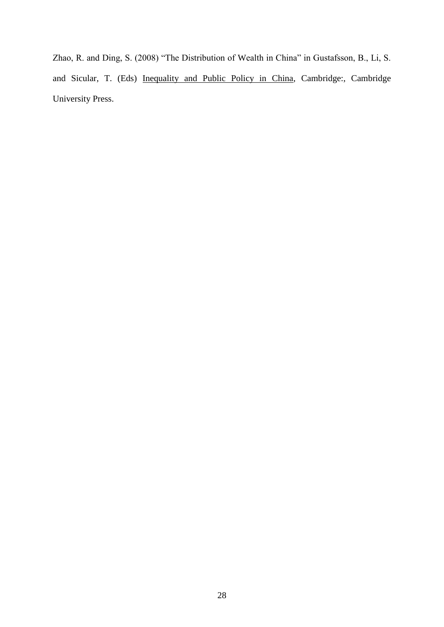Zhao, R. and Ding, S. (2008) "The Distribution of Wealth in China" in Gustafsson, B., Li, S. and Sicular, T. (Eds) Inequality and Public Policy in China, Cambridge:, Cambridge University Press.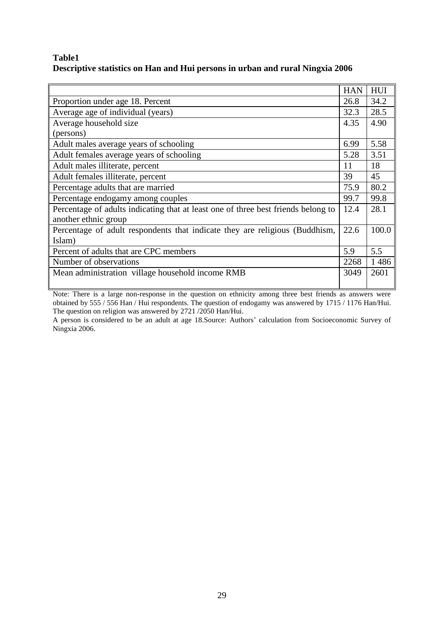# **Table1 Descriptive statistics on Han and Hui persons in urban and rural Ningxia 2006**

|                                                                                   | <b>HAN</b> | HUI   |
|-----------------------------------------------------------------------------------|------------|-------|
| Proportion under age 18. Percent                                                  | 26.8       | 34.2  |
| Average age of individual (years)                                                 | 32.3       | 28.5  |
| Average household size                                                            | 4.35       | 4.90  |
| (persons)                                                                         |            |       |
| Adult males average years of schooling                                            | 6.99       | 5.58  |
| Adult females average years of schooling                                          | 5.28       | 3.51  |
| Adult males illiterate, percent                                                   | 11         | 18    |
| Adult females illiterate, percent                                                 | 39         | 45    |
| Percentage adults that are married                                                | 75.9       | 80.2  |
| Percentage endogamy among couples                                                 | 99.7       | 99.8  |
| Percentage of adults indicating that at least one of three best friends belong to | 12.4       | 28.1  |
| another ethnic group                                                              |            |       |
| Percentage of adult respondents that indicate they are religious (Buddhism,       | 22.6       | 100.0 |
| Islam)                                                                            |            |       |
| Percent of adults that are CPC members                                            | 5.9        | 5.5   |
| Number of observations                                                            | 2268       | 1486  |
| Mean administration village household income RMB                                  | 3049       | 2601  |
|                                                                                   |            |       |

Note: There is a large non-response in the question on ethnicity among three best friends as answers were obtained by 555 / 556 Han / Hui respondents. The question of endogamy was answered by 1715 / 1176 Han/Hui. The question on religion was answered by 2721 /2050 Han/Hui.

A person is considered to be an adult at age 18.Source: Authors' calculation from Socioeconomic Survey of Ningxia 2006.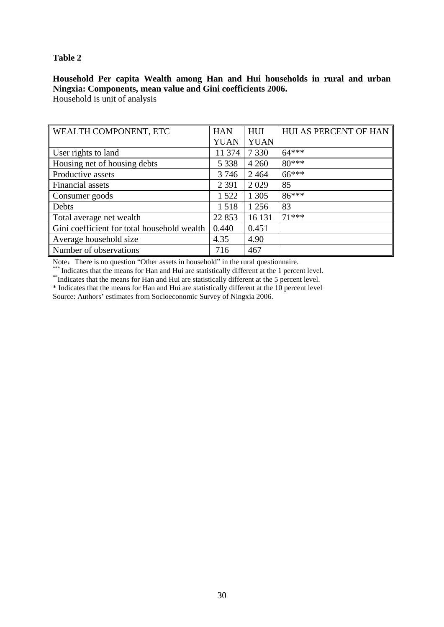### **Table 2**

## **Household Per capita Wealth among Han and Hui households in rural and urban Ningxia: Components, mean value and Gini coefficients 2006.**

Household is unit of analysis

| WEALTH COMPONENT, ETC                       | <b>HAN</b>  | <b>HUI</b>  | HUI AS PERCENT OF HAN |
|---------------------------------------------|-------------|-------------|-----------------------|
|                                             | <b>YUAN</b> | <b>YUAN</b> |                       |
| User rights to land                         | 11 374      | 7 3 3 0     | $64***$               |
| Housing net of housing debts                | 5 3 3 8     | 4 2 6 0     | $80***$               |
| Productive assets                           | 3746        | 2464        | $66***$               |
| Financial assets                            | 2 3 9 1     | 2029        | 85                    |
| Consumer goods                              | 1 5 2 2     | 1 3 0 5     | $86***$               |
| Debts                                       | 1518        | 1 2 5 6     | 83                    |
| Total average net wealth                    | 22 853      | 16 131      | $71***$               |
| Gini coefficient for total household wealth | 0.440       | 0.451       |                       |
| Average household size                      | 4.35        | 4.90        |                       |
| Number of observations                      | 716         | 467         |                       |

Note: There is no question "Other assets in household" in the rural questionnaire.

\* Indicates that the means for Han and Hui are statistically different at the 1 percent level.

\*\*Indicates that the means for Han and Hui are statistically different at the 5 percent level.

\* Indicates that the means for Han and Hui are statistically different at the 10 percent level

Source: Authors' estimates from Socioeconomic Survey of Ningxia 2006.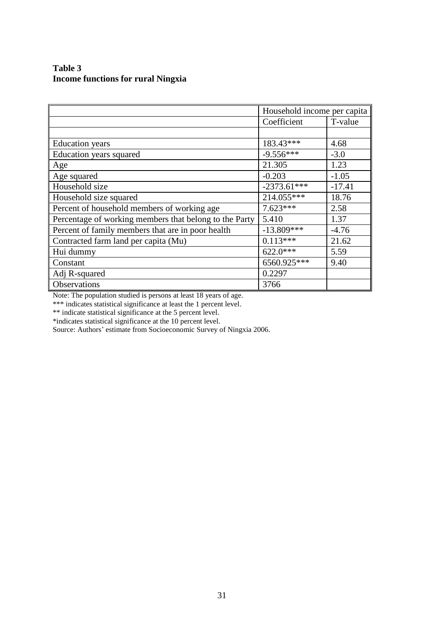## **Table 3 Income functions for rural Ningxia**

|                                                        | Household income per capita |          |
|--------------------------------------------------------|-----------------------------|----------|
|                                                        | Coefficient                 | T-value  |
|                                                        |                             |          |
| <b>Education</b> years                                 | 183.43***                   | 4.68     |
| Education years squared                                | $-9.556***$                 | $-3.0$   |
| Age                                                    | 21.305                      | 1.23     |
| Age squared                                            | $-0.203$                    | $-1.05$  |
| Household size                                         | $-2373.61***$               | $-17.41$ |
| Household size squared                                 | 214.055***                  | 18.76    |
| Percent of household members of working age            | $7.623***$                  | 2.58     |
| Percentage of working members that belong to the Party | 5.410                       | 1.37     |
| Percent of family members that are in poor health      | $-13.809***$                | $-4.76$  |
| Contracted farm land per capita (Mu)                   | $0.113***$                  | 21.62    |
| Hui dummy                                              | $622.0***$                  | 5.59     |
| Constant                                               | 6560.925***                 | 9.40     |
| Adj R-squared                                          | 0.2297                      |          |
| Observations                                           | 3766                        |          |

Note: The population studied is persons at least 18 years of age.

\*\*\* indicates statistical significance at least the 1 percent level.

\*\* indicate statistical significance at the 5 percent level.

\*indicates statistical significance at the 10 percent level.

Source: Authors' estimate from Socioeconomic Survey of Ningxia 2006.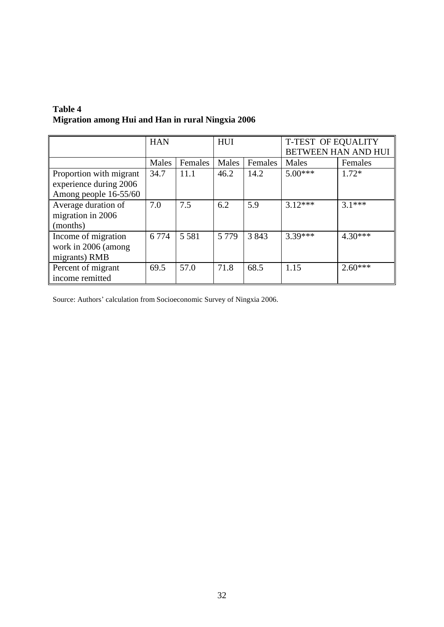| Table 4                                           |  |
|---------------------------------------------------|--|
| Migration among Hui and Han in rural Ningxia 2006 |  |

|                         | <b>HAN</b> |         | HUI     |         | <b>T-TEST OF EQUALITY</b><br><b>BETWEEN HAN AND HUI</b> |           |
|-------------------------|------------|---------|---------|---------|---------------------------------------------------------|-----------|
|                         |            |         |         |         |                                                         |           |
|                         | Males      | Females | Males   | Females | Males                                                   | Females   |
| Proportion with migrant | 34.7       | 11.1    | 46.2    | 14.2    | $5.00***$                                               | $1.72*$   |
| experience during 2006  |            |         |         |         |                                                         |           |
| Among people 16-55/60   |            |         |         |         |                                                         |           |
| Average duration of     | 7.0        | 7.5     | 6.2     | 5.9     | $3.12***$                                               | $31***$   |
| migration in 2006       |            |         |         |         |                                                         |           |
| (months)                |            |         |         |         |                                                         |           |
| Income of migration     | 6 7 7 4    | 5 5 8 1 | 5 7 7 9 | 3843    | $3.39***$                                               | $4.30***$ |
| work in 2006 (among     |            |         |         |         |                                                         |           |
| migrants) RMB           |            |         |         |         |                                                         |           |
| Percent of migrant      | 69.5       | 57.0    | 71.8    | 68.5    | 1.15                                                    | $2.60***$ |
| income remitted         |            |         |         |         |                                                         |           |

Source: Authors' calculation from Socioeconomic Survey of Ningxia 2006.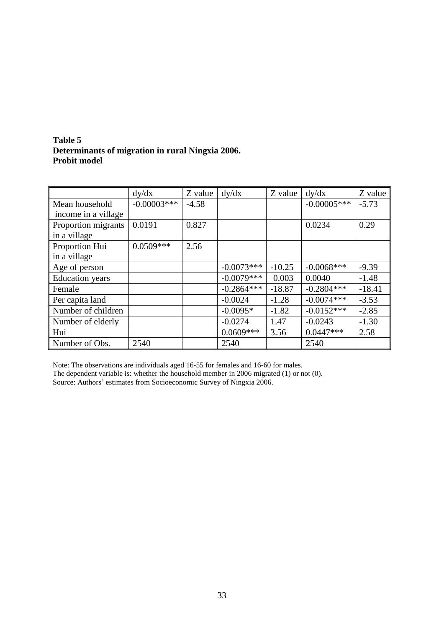| Table 5                                          |  |
|--------------------------------------------------|--|
| Determinants of migration in rural Ningxia 2006. |  |
| <b>Probit model</b>                              |  |

|                        | dy/dx         | Z value | dy/dx        | Z value  | dy/dx         | Z value  |
|------------------------|---------------|---------|--------------|----------|---------------|----------|
| Mean household         | $-0.00003***$ | $-4.58$ |              |          | $-0.00005***$ | $-5.73$  |
| income in a village    |               |         |              |          |               |          |
| Proportion migrants    | 0.0191        | 0.827   |              |          | 0.0234        | 0.29     |
| in a village           |               |         |              |          |               |          |
| Proportion Hui         | $0.0509***$   | 2.56    |              |          |               |          |
| in a village           |               |         |              |          |               |          |
| Age of person          |               |         | $-0.0073***$ | $-10.25$ | $-0.0068$ *** | $-9.39$  |
| <b>Education</b> years |               |         | $-0.0079***$ | 0.003    | 0.0040        | $-1.48$  |
| Female                 |               |         | $-0.2864***$ | $-18.87$ | $-0.2804***$  | $-18.41$ |
| Per capita land        |               |         | $-0.0024$    | $-1.28$  | $-0.0074***$  | $-3.53$  |
| Number of children     |               |         | $-0.0095*$   | $-1.82$  | $-0.0152***$  | $-2.85$  |
| Number of elderly      |               |         | $-0.0274$    | 1.47     | $-0.0243$     | $-1.30$  |
| Hui                    |               |         | $0.0609***$  | 3.56     | $0.0447***$   | 2.58     |
| Number of Obs.         | 2540          |         | 2540         |          | 2540          |          |

Note: The observations are individuals aged 16-55 for females and 16-60 for males. The dependent variable is: whether the household member in 2006 migrated (1) or not (0). Source: Authors' estimates from Socioeconomic Survey of Ningxia 2006.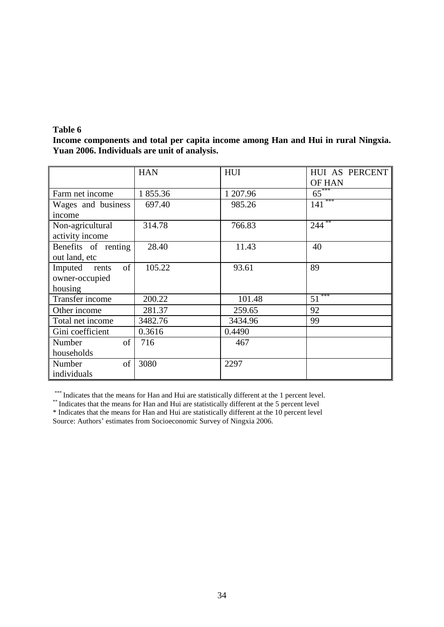### **Table 6**

**Income components and total per capita income among Han and Hui in rural Ningxia. Yuan 2006. Individuals are unit of analysis.** 

|                        | <b>HAN</b> | HUI      | HUI AS PERCENT<br>OF HAN |
|------------------------|------------|----------|--------------------------|
| Farm net income        | 1855.36    | 1 207.96 | $65$ <sup>***</sup>      |
| Wages and business     | 697.40     | 985.26   | ***<br>141               |
| income                 |            |          |                          |
| Non-agricultural       | 314.78     | 766.83   | 244                      |
| activity income        |            |          |                          |
| Benefits of renting    | 28.40      | 11.43    | 40                       |
| out land, etc          |            |          |                          |
| of<br>Imputed<br>rents | 105.22     | 93.61    | 89                       |
| owner-occupied         |            |          |                          |
| housing                |            |          |                          |
| Transfer income        | 200.22     | 101.48   | ***<br>51                |
| Other income           | 281.37     | 259.65   | 92                       |
| Total net income       | 3482.76    | 3434.96  | 99                       |
| Gini coefficient       | 0.3616     | 0.4490   |                          |
| of<br>Number           | 716        | 467      |                          |
| households             |            |          |                          |
| of<br>Number           | 3080       | 2297     |                          |
| individuals            |            |          |                          |

\*\*\* Indicates that the means for Han and Hui are statistically different at the 1 percent level.

\*\* Indicates that the means for Han and Hui are statistically different at the 5 percent level

\* Indicates that the means for Han and Hui are statistically different at the 10 percent level Source: Authors' estimates from Socioeconomic Survey of Ningxia 2006.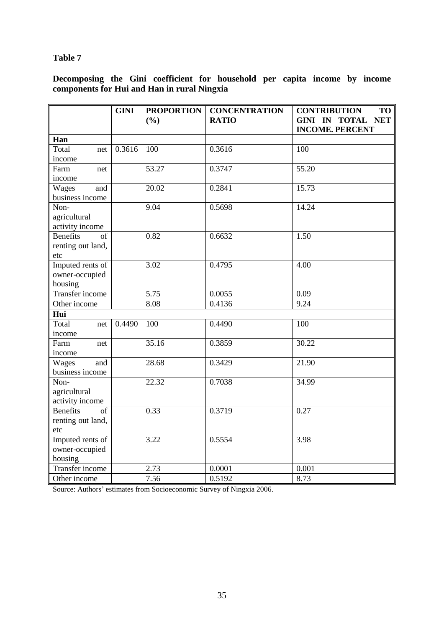# **Table 7**

**Decomposing the Gini coefficient for household per capita income by income components for Hui and Han in rural Ningxia** 

|                        | <b>GINI</b> | <b>PROPORTION</b> | <b>CONCENTRATION</b> | <b>CONTRIBUTION</b><br>TO                                    |
|------------------------|-------------|-------------------|----------------------|--------------------------------------------------------------|
|                        |             | (9/0)             | <b>RATIO</b>         | <b>NET</b><br><b>GINI IN TOTAL</b><br><b>INCOME. PERCENT</b> |
| Han                    |             |                   |                      |                                                              |
| Total<br>net           | 0.3616      | 100               | 0.3616               | 100                                                          |
| income                 |             |                   |                      |                                                              |
| Farm<br>net            |             | 53.27             | 0.3747               | 55.20                                                        |
| income                 |             |                   |                      |                                                              |
| Wages<br>and           |             | 20.02             | 0.2841               | 15.73                                                        |
| business income        |             |                   |                      |                                                              |
| Non-                   |             | 9.04              | 0.5698               | 14.24                                                        |
| agricultural           |             |                   |                      |                                                              |
| activity income        |             |                   |                      |                                                              |
| <b>Benefits</b><br>of  |             | 0.82              | 0.6632               | 1.50                                                         |
| renting out land,      |             |                   |                      |                                                              |
| etc                    |             |                   |                      |                                                              |
| Imputed rents of       |             | 3.02              | 0.4795               | 4.00                                                         |
| owner-occupied         |             |                   |                      |                                                              |
| housing                |             |                   |                      |                                                              |
| Transfer income        |             | 5.75              | 0.0055               | 0.09                                                         |
| Other income           |             | 8.08              | 0.4136               | 9.24                                                         |
| Hui                    |             |                   |                      |                                                              |
| Total<br>net           | 0.4490      | 100               | 0.4490               | 100                                                          |
| income                 |             |                   |                      |                                                              |
| Farm<br>net            |             | 35.16             | 0.3859               | 30.22                                                        |
| income                 |             |                   |                      |                                                              |
| Wages<br>and           |             | 28.68             | 0.3429               | 21.90                                                        |
| business income        |             |                   |                      |                                                              |
| Non-                   |             | 22.32             | 0.7038               | 34.99                                                        |
| agricultural           |             |                   |                      |                                                              |
| activity income        |             |                   |                      |                                                              |
| <b>Benefits</b><br>of  |             | 0.33              | 0.3719               | 0.27                                                         |
| renting out land,      |             |                   |                      |                                                              |
| etc                    |             |                   |                      |                                                              |
| Imputed rents of       |             | 3.22              | 0.5554               | 3.98                                                         |
| owner-occupied         |             |                   |                      |                                                              |
| housing                |             |                   |                      |                                                              |
| <b>Transfer income</b> |             | 2.73              | 0.0001               | 0.001                                                        |
| Other income           |             | 7.56              | 0.5192               | 8.73                                                         |

Source: Authors' estimates from Socioeconomic Survey of Ningxia 2006.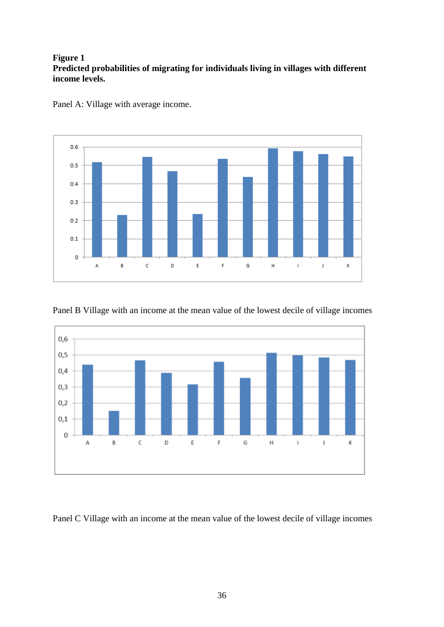# **Figure 1 Predicted probabilities of migrating for individuals living in villages with different income levels.**



Panel A: Village with average income.





Panel C Village with an income at the mean value of the lowest decile of village incomes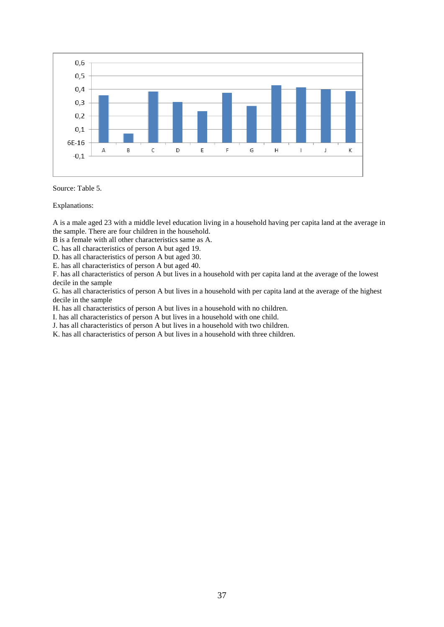

#### Source: Table 5.

Explanations:

A is a male aged 23 with a middle level education living in a household having per capita land at the average in the sample. There are four children in the household.

B is a female with all other characteristics same as A.

C. has all characteristics of person A but aged 19.

D. has all characteristics of person A but aged 30.

E. has all characteristics of person A but aged 40.

F. has all characteristics of person A but lives in a household with per capita land at the average of the lowest decile in the sample

G. has all characteristics of person A but lives in a household with per capita land at the average of the highest decile in the sample

H. has all characteristics of person A but lives in a household with no children.

I. has all characteristics of person A but lives in a household with one child.

J. has all characteristics of person A but lives in a household with two children.

K. has all characteristics of person A but lives in a household with three children.